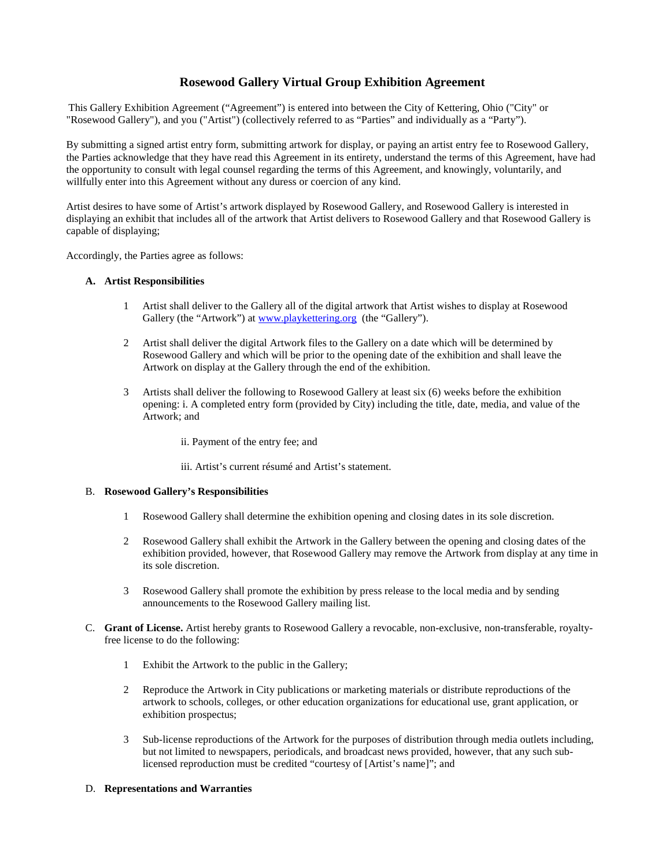# **Rosewood Gallery Virtual Group Exhibition Agreement**

This Gallery Exhibition Agreement ("Agreement") is entered into between the City of Kettering, Ohio ("City" or "Rosewood Gallery"), and you ("Artist") (collectively referred to as "Parties" and individually as a "Party").

By submitting a signed artist entry form, submitting artwork for display, or paying an artist entry fee to Rosewood Gallery, the Parties acknowledge that they have read this Agreement in its entirety, understand the terms of this Agreement, have had the opportunity to consult with legal counsel regarding the terms of this Agreement, and knowingly, voluntarily, and willfully enter into this Agreement without any duress or coercion of any kind.

Artist desires to have some of Artist's artwork displayed by Rosewood Gallery, and Rosewood Gallery is interested in displaying an exhibit that includes all of the artwork that Artist delivers to Rosewood Gallery and that Rosewood Gallery is capable of displaying;

Accordingly, the Parties agree as follows:

#### **A. Artist Responsibilities**

- 1 Artist shall deliver to the Gallery all of the digital artwork that Artist wishes to display at Rosewood Gallery (the "Artwork") at [www.playkettering.org](http://www.playkettering.org/) (the "Gallery").
- 2 Artist shall deliver the digital Artwork files to the Gallery on a date which will be determined by Rosewood Gallery and which will be prior to the opening date of the exhibition and shall leave the Artwork on display at the Gallery through the end of the exhibition.
- 3 Artists shall deliver the following to Rosewood Gallery at least six (6) weeks before the exhibition opening: i. A completed entry form (provided by City) including the title, date, media, and value of the Artwork; and
	- ii. Payment of the entry fee; and
	- iii. Artist's current résumé and Artist's statement.

#### B. **Rosewood Gallery's Responsibilities**

- 1 Rosewood Gallery shall determine the exhibition opening and closing dates in its sole discretion.
- 2 Rosewood Gallery shall exhibit the Artwork in the Gallery between the opening and closing dates of the exhibition provided, however, that Rosewood Gallery may remove the Artwork from display at any time in its sole discretion.
- 3 Rosewood Gallery shall promote the exhibition by press release to the local media and by sending announcements to the Rosewood Gallery mailing list.
- C. **Grant of License.** Artist hereby grants to Rosewood Gallery a revocable, non-exclusive, non-transferable, royaltyfree license to do the following:
	- 1 Exhibit the Artwork to the public in the Gallery;
	- 2 Reproduce the Artwork in City publications or marketing materials or distribute reproductions of the artwork to schools, colleges, or other education organizations for educational use, grant application, or exhibition prospectus;
	- 3 Sub-license reproductions of the Artwork for the purposes of distribution through media outlets including, but not limited to newspapers, periodicals, and broadcast news provided, however, that any such sublicensed reproduction must be credited "courtesy of [Artist's name]"; and

#### D. **Representations and Warranties**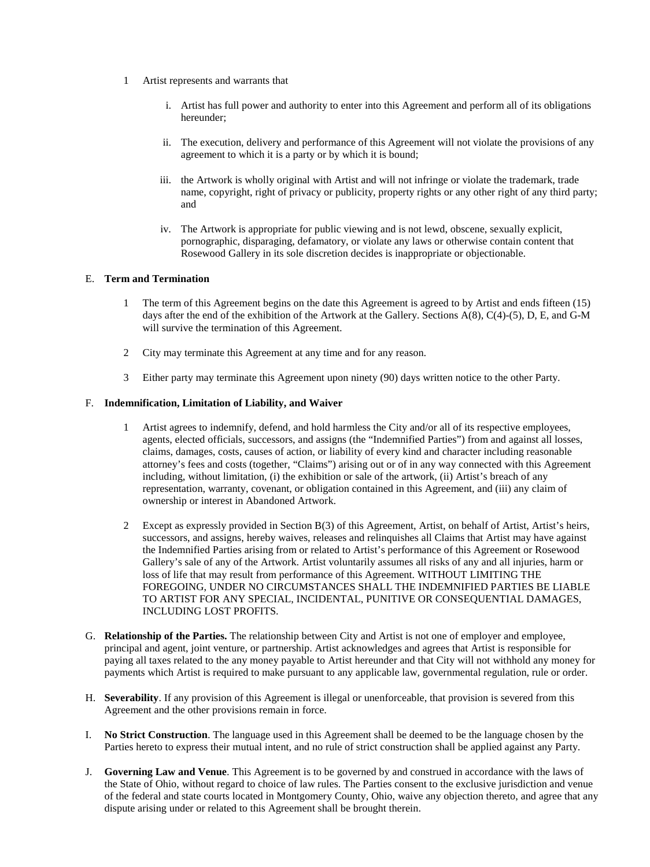- 1 Artist represents and warrants that
	- i. Artist has full power and authority to enter into this Agreement and perform all of its obligations hereunder;
	- ii. The execution, delivery and performance of this Agreement will not violate the provisions of any agreement to which it is a party or by which it is bound;
	- iii. the Artwork is wholly original with Artist and will not infringe or violate the trademark, trade name, copyright, right of privacy or publicity, property rights or any other right of any third party; and
	- iv. The Artwork is appropriate for public viewing and is not lewd, obscene, sexually explicit, pornographic, disparaging, defamatory, or violate any laws or otherwise contain content that Rosewood Gallery in its sole discretion decides is inappropriate or objectionable.

## E. **Term and Termination**

- 1 The term of this Agreement begins on the date this Agreement is agreed to by Artist and ends fifteen (15) days after the end of the exhibition of the Artwork at the Gallery. Sections A(8), C(4)-(5), D, E, and G-M will survive the termination of this Agreement.
- 2 City may terminate this Agreement at any time and for any reason.
- 3 Either party may terminate this Agreement upon ninety (90) days written notice to the other Party.

## F. **Indemnification, Limitation of Liability, and Waiver**

- 1 Artist agrees to indemnify, defend, and hold harmless the City and/or all of its respective employees, agents, elected officials, successors, and assigns (the "Indemnified Parties") from and against all losses, claims, damages, costs, causes of action, or liability of every kind and character including reasonable attorney's fees and costs (together, "Claims") arising out or of in any way connected with this Agreement including, without limitation, (i) the exhibition or sale of the artwork, (ii) Artist's breach of any representation, warranty, covenant, or obligation contained in this Agreement, and (iii) any claim of ownership or interest in Abandoned Artwork.
- 2 Except as expressly provided in Section B(3) of this Agreement, Artist, on behalf of Artist, Artist's heirs, successors, and assigns, hereby waives, releases and relinquishes all Claims that Artist may have against the Indemnified Parties arising from or related to Artist's performance of this Agreement or Rosewood Gallery's sale of any of the Artwork. Artist voluntarily assumes all risks of any and all injuries, harm or loss of life that may result from performance of this Agreement. WITHOUT LIMITING THE FOREGOING, UNDER NO CIRCUMSTANCES SHALL THE INDEMNIFIED PARTIES BE LIABLE TO ARTIST FOR ANY SPECIAL, INCIDENTAL, PUNITIVE OR CONSEQUENTIAL DAMAGES, INCLUDING LOST PROFITS.
- G. **Relationship of the Parties.** The relationship between City and Artist is not one of employer and employee, principal and agent, joint venture, or partnership. Artist acknowledges and agrees that Artist is responsible for paying all taxes related to the any money payable to Artist hereunder and that City will not withhold any money for payments which Artist is required to make pursuant to any applicable law, governmental regulation, rule or order.
- H. **Severability**. If any provision of this Agreement is illegal or unenforceable, that provision is severed from this Agreement and the other provisions remain in force.
- I. **No Strict Construction**. The language used in this Agreement shall be deemed to be the language chosen by the Parties hereto to express their mutual intent, and no rule of strict construction shall be applied against any Party.
- J. **Governing Law and Venue**. This Agreement is to be governed by and construed in accordance with the laws of the State of Ohio, without regard to choice of law rules. The Parties consent to the exclusive jurisdiction and venue of the federal and state courts located in Montgomery County, Ohio, waive any objection thereto, and agree that any dispute arising under or related to this Agreement shall be brought therein.